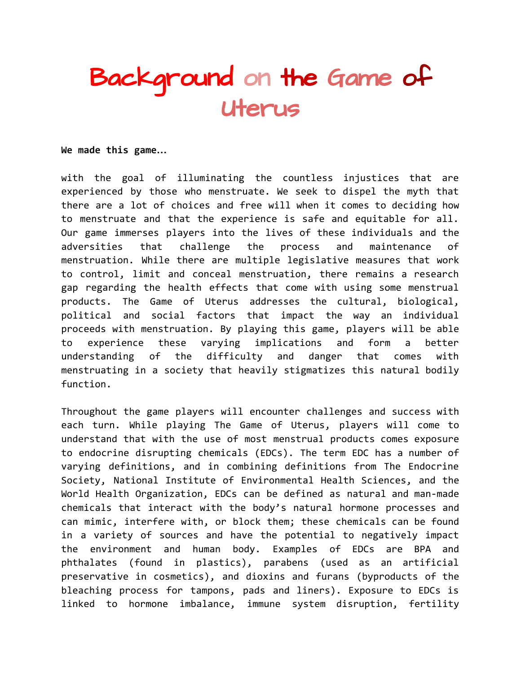## Background on the Game of Uterus

**We made this game…**

with the goal of illuminating the countless injustices that are experienced by those who menstruate. We seek to dispel the myth that there are a lot of choices and free will when it comes to deciding how to menstruate and that the experience is safe and equitable for all. Our game immerses players into the lives of these individuals and the adversities that challenge the process and maintenance of menstruation. While there are multiple legislative measures that work to control, limit and conceal menstruation, there remains a research gap regarding the health effects that come with using some menstrual products. The Game of Uterus addresses the cultural, biological, political and social factors that impact the way an individual proceeds with menstruation. By playing this game, players will be able to experience these varying implications and form a better understanding of the difficulty and danger that comes with menstruating in a society that heavily stigmatizes this natural bodily function.

Throughout the game players will encounter challenges and success with each turn. While playing The Game of Uterus, players will come to understand that with the use of most menstrual products comes exposure to endocrine disrupting chemicals (EDCs). The term EDC has a number of varying definitions, and in combining definitions from The Endocrine Society, National Institute of Environmental Health Sciences, and the World Health Organization, EDCs can be defined as natural and man-made chemicals that interact with the body's natural hormone processes and can mimic, interfere with, or block them; these chemicals can be found in a variety of sources and have the potential to negatively impact the environment and human body. Examples of EDCs are BPA and phthalates (found in plastics), parabens (used as an artificial preservative in cosmetics), and dioxins and furans (byproducts of the bleaching process for tampons, pads and liners). Exposure to EDCs is linked to hormone imbalance, immune system disruption, fertility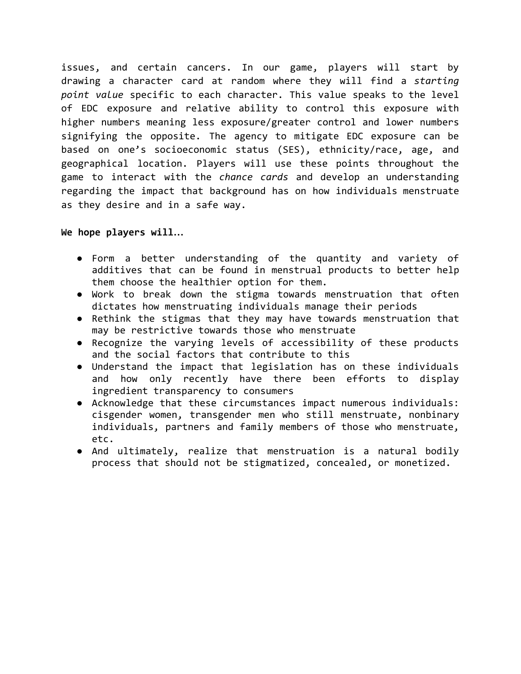issues, and certain cancers. In our game, players will start by drawing a character card at random where they will find a *starting point value* specific to each character. This value speaks to the level of EDC exposure and relative ability to control this exposure with higher numbers meaning less exposure/greater control and lower numbers signifying the opposite. The agency to mitigate EDC exposure can be based on one's socioeconomic status (SES), ethnicity/race, age, and geographical location. Players will use these points throughout the game to interact with the *chance cards* and develop an understanding regarding the impact that background has on how individuals menstruate as they desire and in a safe way.

**We hope players will…**

- Form a better understanding of the quantity and variety of additives that can be found in menstrual products to better help them choose the healthier option for them.
- Work to break down the stigma towards menstruation that often dictates how menstruating individuals manage their periods
- Rethink the stigmas that they may have towards menstruation that may be restrictive towards those who menstruate
- Recognize the varying levels of accessibility of these products and the social factors that contribute to this
- Understand the impact that legislation has on these individuals and how only recently have there been efforts to display ingredient transparency to consumers
- Acknowledge that these circumstances impact numerous individuals: cisgender women, transgender men who still menstruate, nonbinary individuals, partners and family members of those who menstruate, etc.
- And ultimately, realize that menstruation is a natural bodily process that should not be stigmatized, concealed, or monetized.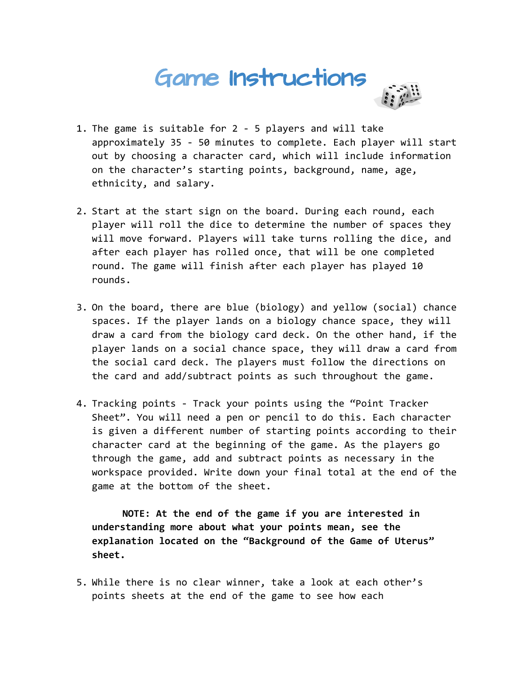## Game Instructions



- 1. The game is suitable for 2 5 players and will take approximately 35 - 50 minutes to complete. Each player will start out by choosing a character card, which will include information on the character's starting points, background, name, age, ethnicity, and salary.
- 2. Start at the start sign on the board. During each round, each player will roll the dice to determine the number of spaces they will move forward. Players will take turns rolling the dice, and after each player has rolled once, that will be one completed round. The game will finish after each player has played 10 rounds.
- 3. On the board, there are blue (biology) and yellow (social) chance spaces. If the player lands on a biology chance space, they will draw a card from the biology card deck. On the other hand, if the player lands on a social chance space, they will draw a card from the social card deck. The players must follow the directions on the card and add/subtract points as such throughout the game.
- 4. Tracking points Track your points using the "Point Tracker Sheet". You will need a pen or pencil to do this. Each character is given a different number of starting points according to their character card at the beginning of the game. As the players go through the game, add and subtract points as necessary in the workspace provided. Write down your final total at the end of the game at the bottom of the sheet.

**NOTE: At the end of the game if you are interested in understanding more about what your points mean, see the explanation located on the "Background of the Game of Uterus" sheet.**

5. While there is no clear winner, take a look at each other's points sheets at the end of the game to see how each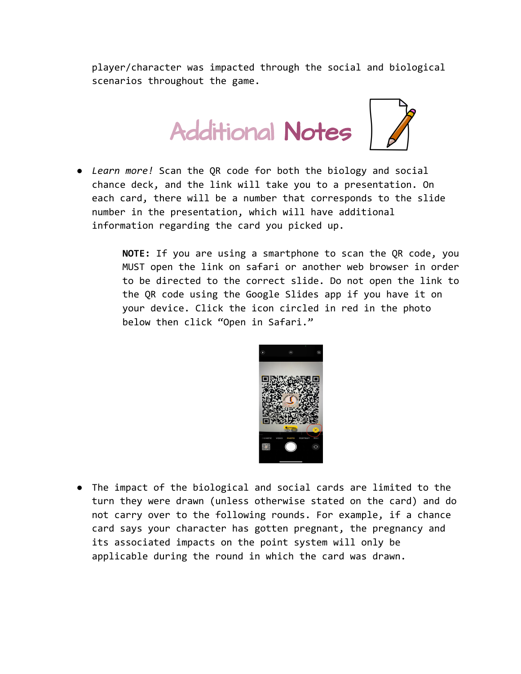player/character was impacted through the social and biological scenarios throughout the game.



● *Learn more!* Scan the QR code for both the biology and social chance deck, and the link will take you to a presentation. On each card, there will be a number that corresponds to the slide number in the presentation, which will have additional information regarding the card you picked up.

> **NOTE:** If you are using a smartphone to scan the QR code, you MUST open the link on safari or another web browser in order to be directed to the correct slide. Do not open the link to the QR code using the Google Slides app if you have it on your device. Click the icon circled in red in the photo below then click "Open in Safari."



● The impact of the biological and social cards are limited to the turn they were drawn (unless otherwise stated on the card) and do not carry over to the following rounds. For example, if a chance card says your character has gotten pregnant, the pregnancy and its associated impacts on the point system will only be applicable during the round in which the card was drawn.